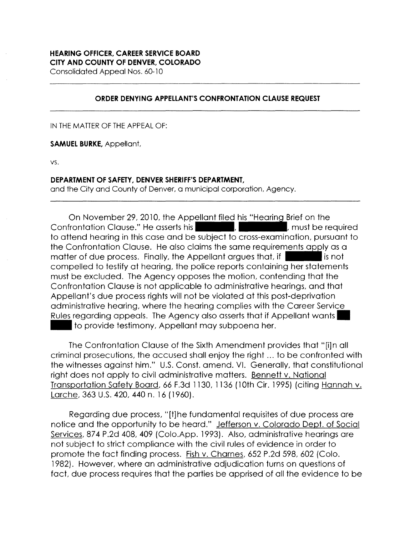# **HEARING OFFICER, CAREER SERVICE BOARD CITY AND COUNTY OF DENVER, COLORADO**

Consolidated Appeal Nos. 60-10

### **ORDER DENYING APPELLANT'S CONFRONTATION CLAUSE REQUEST**

IN THE MATTER OF THE APPEAL OF:

**SAMUEL BURKE,** Appellant,

vs.

### **DEPARTMENT OF SAFETY, DENVER SHERIFF'S DEPARTMENT,**

and the City and County of Denver, a municipal corporation, Agency.

On November 29, 2010, the Appellant filed his "Hearing Brief on the<br>Confrontation Clause." He asserts his **Department of the confrontation control**, must be required to attend hearing in this case and be subject to cross-examination, pursuant to the Confrontation Clause. He also claims the same requirements apply as a matter of due process. Finally, the Appellant argues that, if  $\sim$  is not compelled to testify at hearing, the police reports containing her statements must be excluded. The Agency opposes the motion, contending that the Confrontation Clause is not applicable to administrative hearings, and that Appellant's due process rights will not be violated at this post-deprivation administrative hearing, where the hearing complies with the Career Service Rules regarding appeals. The Agency also asserts that if Appellant wants. to provide testimony, Appellant may subpoena her.

The Confrontation Clause of the Sixth Amendment provides that "[i]n all criminal prosecutions, the accused shall enjoy the right ... to be confronted with the witnesses against him." U.S. Const. amend. VI. Generally, that constitutional right does not apply to civil administrative matters. Bennett v. National Transportation Safety Board, 66 F.3d 1130, 1136 (10th Cir. 1995) (citing Hannah v. Larche, 363 U.S. 420, 440 n. 16 (1960).

Regarding due process, "[t]he fundamental requisites of due process are notice and the opportunity to be heard." Jefferson v. Colorado Dept. of Social Services, 874 P.2d 408, 409 (Colo.App. 1993). Also, administrative hearings are not subject to strict compliance with the civil rules of evidence in order to promote the fact finding process. Fish v. Charnes, 652 P.2d 598, 602 (Colo. 1982). However, where an administrative adjudication turns on questions of fact, due process requires that the parties be apprised of all the evidence to be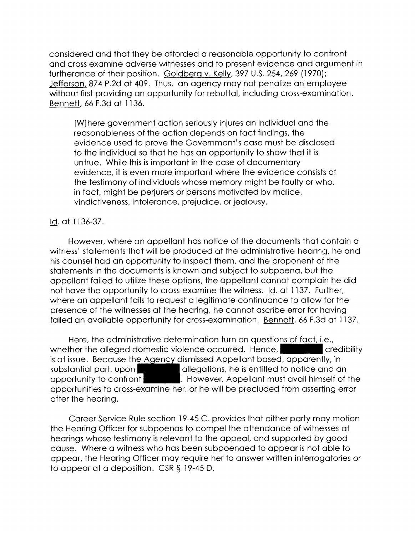considered and that they be afforded a reasonable opportunity to confront and cross examine adverse witnesses and to present evidence and argument in furtherance of their position. Goldberg v. Kelly, 397 U.S. 254, 269 (1970); Jefferson, 874 P.2d at 409. Thus, an agency may not penalize an employee without first providing an opportunity for rebuttal, including cross-examination. Bennett, 66 F.3d at 1136.

[W]here government action seriously injures an individual and the reasonableness of the action depends on fact findings, the evidence used to prove the Government's case must be disclosed to the individual so that he has an opportunity to show that it is untrue. While this is important in the case of documentary evidence, it is even more important where the evidence consists of the testimony of individuals whose memory might be faulty or who, in fact, might be perjurers or persons motivated by malice, vindictiveness, intolerance, prejudice, or jealousy.

## Id. at 1136-37.

However, where an appellant has notice of the documents that contain a witness' statements that will be produced at the administrative hearing, he and his counsel had an opportunity to inspect them, and the proponent of the statements in the documents is known and subject to subpoena, but the appellant failed to utilize these options, the appellant cannot complain he did not have the opportunity to cross-examine the witness. Id. at 1137. Further, where an appellant fails to request a legitimate continuance to allow for the presence of the witnesses at the hearing, he cannot ascribe error for having failed an available opportunity for cross-examination. Bennett, 66 F.3d at 1137.

Here, the administrative determination turn on questions of fact, i.e., whether the alleged domestic violence occurred. Hence, credibility is at issue. Because the Agency dismissed Appellant based, apparently, in substantial part, upon allegations, he is entitled to notice and an opportunity to confront opportunity to confront **the set of the . However, Appellant must avail himself of the** opportunities to cross-examine her, or he will be precluded from asserting error after the hearing.

Career Service Rule section 19-45 C. provides that either party may motion the Hearing Officer for subpoenas to compel the attendance of witnesses at hearings whose testimony is relevant to the appeal, and supported by good cause. Where a witness who has been subpoenaed to appear is not able to appear, the Hearing Officer may require her to answer written interrogatories or to appear at a deposition. CSR§ 19-45 D.